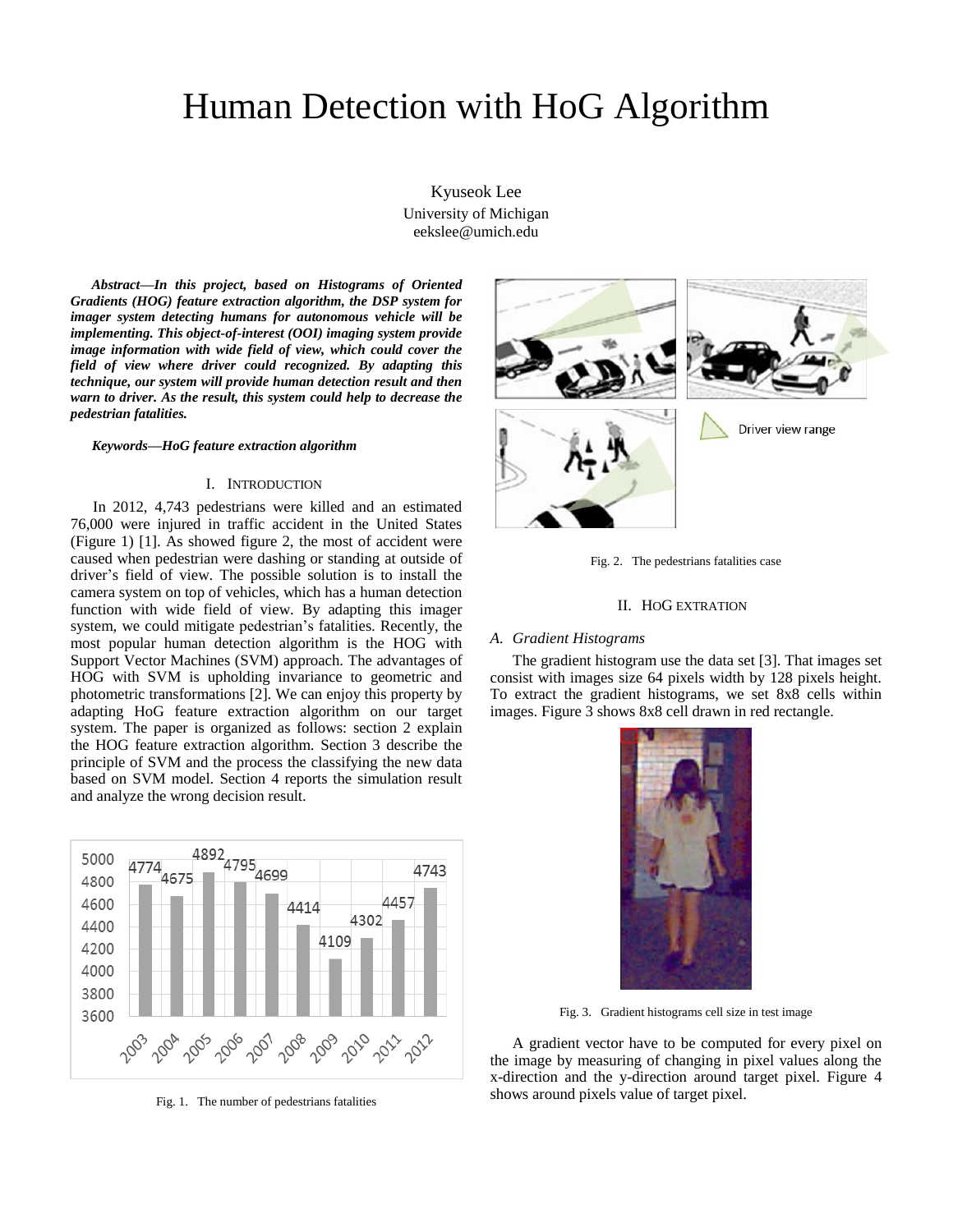# Human Detection with HoG Algorithm

Kyuseok Lee University of Michigan eekslee@umich.edu

*Abstract***—***In this project, based on Histograms of Oriented Gradients (HOG) feature extraction algorithm, the DSP system for imager system detecting humans for autonomous vehicle will be implementing. This object-of-interest (OOI) imaging system provide image information with wide field of view, which could cover the field of view where driver could recognized. By adapting this technique, our system will provide human detection result and then warn to driver. As the result, this system could help to decrease the pedestrian fatalities.*

## *Keywords—HoG feature extraction algorithm*

#### I. INTRODUCTION

In 2012, 4,743 pedestrians were killed and an estimated 76,000 were injured in traffic accident in the United States (Figure 1) [1]. As showed figure 2, the most of accident were caused when pedestrian were dashing or standing at outside of driver's field of view. The possible solution is to install the camera system on top of vehicles, which has a human detection function with wide field of view. By adapting this imager system, we could mitigate pedestrian's fatalities. Recently, the most popular human detection algorithm is the HOG with Support Vector Machines (SVM) approach. The advantages of HOG with SVM is upholding invariance to geometric and photometric transformations [2]. We can enjoy this property by adapting HoG feature extraction algorithm on our target system. The paper is organized as follows: section 2 explain the HOG feature extraction algorithm. Section 3 describe the principle of SVM and the process the classifying the new data based on SVM model. Section 4 reports the simulation result and analyze the wrong decision result.



Fig. 1. The number of pedestrians fatalities





Driver view range

Fig. 2. The pedestrians fatalities case

## II. HOG EXTRATION

# *A. Gradient Histograms*

The gradient histogram use the data set [3]. That images set consist with images size 64 pixels width by 128 pixels height. To extract the gradient histograms, we set 8x8 cells within images. Figure 3 shows 8x8 cell drawn in red rectangle.



Fig. 3. Gradient histograms cell size in test image

A gradient vector have to be computed for every pixel on the image by measuring of changing in pixel values along the x-direction and the y-direction around target pixel. Figure 4 shows around pixels value of target pixel.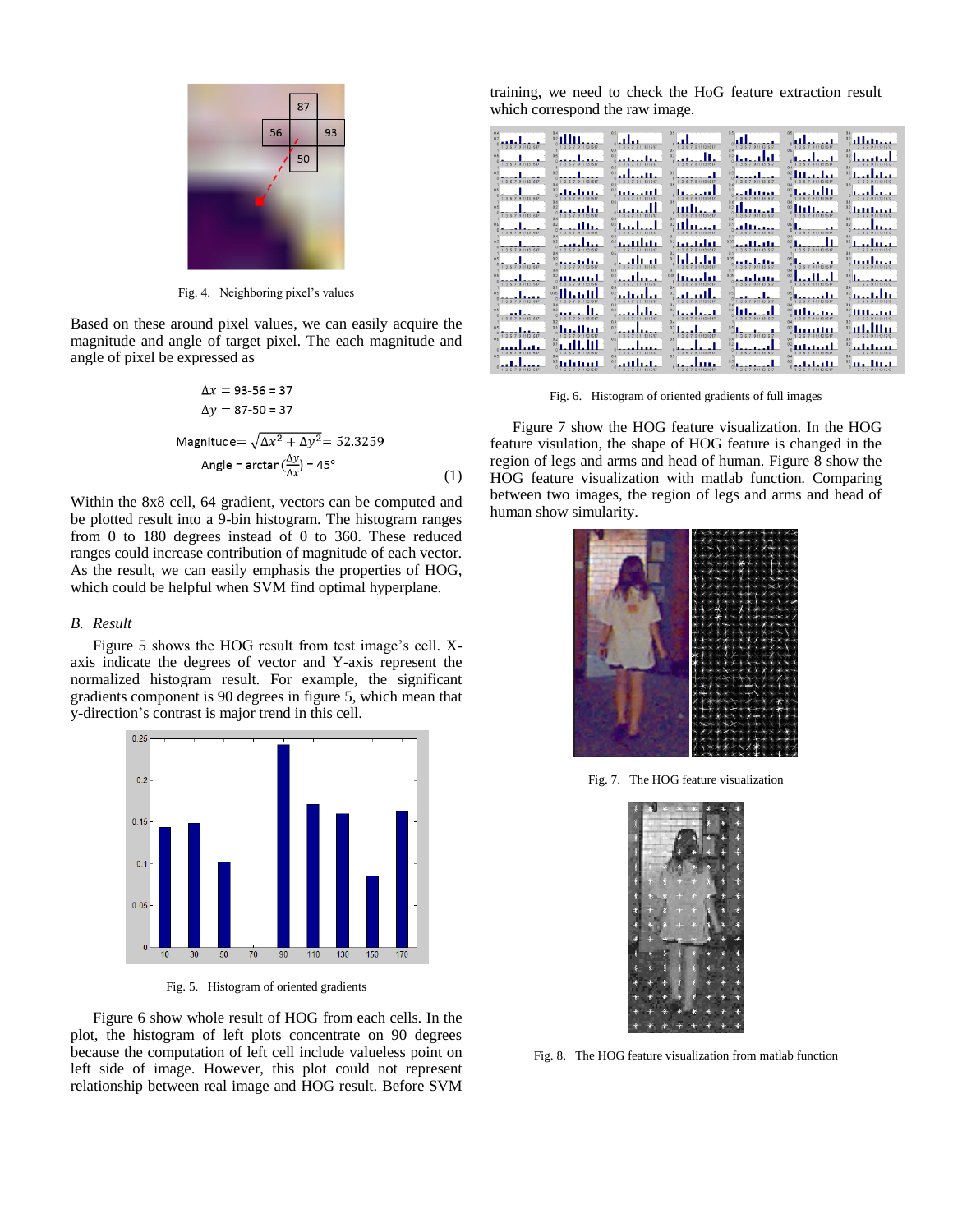

Fig. 4. Neighboring pixel's values

Based on these around pixel values, we can easily acquire the magnitude and angle of target pixel. The each magnitude and angle of pixel be expressed as

$$
\Delta x = 93-56 = 37
$$
  
\n
$$
\Delta y = 87-50 = 37
$$
  
\n
$$
\Delta x^2 + \Delta y^2 = 52.3259
$$
  
\n
$$
\Delta \text{Angle} = \arctan(\frac{\Delta y}{\Delta x}) = 45^\circ
$$
 (1)

Within the 8x8 cell, 64 gradient, vectors can be computed and be plotted result into a 9-bin histogram. The histogram ranges from 0 to 180 degrees instead of 0 to 360. These reduced ranges could increase contribution of magnitude of each vector. As the result, we can easily emphasis the properties of HOG, which could be helpful when SVM find optimal hyperplane.

# *B. Result*

Figure 5 shows the HOG result from test image's cell. Xaxis indicate the degrees of vector and Y-axis represent the normalized histogram result. For example, the significant gradients component is 90 degrees in figure 5, which mean that y-direction's contrast is major trend in this cell.



Fig. 5. Histogram of oriented gradients

Figure 6 show whole result of HOG from each cells. In the plot, the histogram of left plots concentrate on 90 degrees because the computation of left cell include valueless point on left side of image. However, this plot could not represent relationship between real image and HOG result. Before SVM

training, we need to check the HoG feature extraction result which correspond the raw image.

| 357911131517          | 1 3 5 7 9 11 13 15 17          | 1 3 5 7 9 11 13 16 17                      | 36791131517                               | 0.4                                      | 9 11 13 15 17<br>n <sub>5</sub> |                       |
|-----------------------|--------------------------------|--------------------------------------------|-------------------------------------------|------------------------------------------|---------------------------------|-----------------------|
| 5 7 9 11 13 16 17     | 3 5 7 9 11 13 15 17            | 9 11 13 16 17                              | 7 9 11 13 15 17                           | 5 7 9 11 13 15 17                        | 9 11 13 15 17                   |                       |
| 3 5 7 9 11 13 16 17   | 3 5 7 9 11 13 15 17            | 01<br>3 5 7 9 11 13 15 17                  | 3 5 7 9 11 13 15 17                       | 3 5 7 9 11 13 15 17                      |                                 | 35791131512           |
|                       |                                | 0.2                                        |                                           | n ><br>,,,,,,,                           |                                 |                       |
| 3 5 7 9 11 13 15 17   | 35791131517                    | 9 11 13 15 17<br>06                        |                                           | 3 5 7 9 11 13 15 17                      | 911131517                       | 7 9 11 13 15 17       |
| 1 3 5 7 9 11 13 15 17 | 1 3 5 7 9 11 13 15 17          | 04                                         | 3 5 7 9 11 13 15 17                       | 3 5 7 9 11 13 15 17                      | 1 3 5 7 9 11 13 15 17           | 3 6 7 9 11 13 15 17   |
| 3 5 7 9 11 13 15 17   | 3 5 7 9 11 13 15 17            | 0.2 <sub>1</sub><br>3 5 7 9 11 13 15 17    | سيستل<br>1 3 5 7 9 11 13 15 17            | 3 5 7 9 11 13 15 17                      | ____<br>3 5 7 9 11 13 15 17     | 3 5 7 9 11 13 15 17   |
|                       |                                | 0.6                                        | .                                         | 0.01                                     | 0.8                             |                       |
| 357911131617          | 3 5 7 9 11 13 15 17            | 9 11 13 16 17<br>05                        | 7 9 11 13 15 17                           | 7 9 11 13 15 17<br>$\Omega$<br>0.05      | 3 5 7 9 11 13 15 17             | 3 5 7 9 11 13 15 17   |
| 35791131517           | 357911131517                   | 9 11 13 16 17                              | 9 11 13 15 17                             | 1 3 5 7 9 11 13 15 17                    | 3579113517<br>0.8               | 1 3 5 7 9 11 13 15 17 |
| 5 7 9 11 13 15 17     | 111.11111                      | 0.2<br>.<br>9 11 13 15 17                  | 0.06<br><u> Haarl II</u><br>9 11 13 15 17 | 0.05<br>فالتلتليج<br>3 5 7 9 11 13 15 17 | 0.2<br>5 7 9 11 13 15 17        | 7 9 11 13 15 17       |
| 3 5 7 9 11 13 16 17   | 0.05<br>ساءاك<br>9 11 13 15 17 | ستنساب                                     | ш<br>9 11 13 15 17                        | 3 5 7 9 11 13 15 17                      | 05<br>3 5 7 9 11 13 15 17       | n <sub>0</sub>        |
|                       |                                | n <sub>2</sub><br>$\Omega$                 |                                           | $n_{4}$<br>للمحاط<br>n                   | مستسللة                         | n                     |
| 3 5 7 9 11 13 16 17   | 9 11 13 15 17                  | 5 7 9 11 13 15 17<br>0.4<br>n <sub>2</sub> | 9 11 13 15 17                             | 3 5 7 9 11 13 15 17<br>0.5               |                                 |                       |
| 5 7 9 11 13 16 17     | لىبلا                          | 5 7 9 11 13 15 17<br>0 <sup>K</sup>        | 3 6 7 9 11 13 15 17<br>n <sub>5</sub>     | 3 5 7 9 11 13 15 17<br>04                | <br>5 7 9 11 13 15 17           |                       |
| 9 11 13 15 17         | 57911131517                    | 3 5 7 9 11 13 15 17                        | 1 3 5 7 9 11 13 15 17                     | 1 3 5 7 9 11 13 15 17                    | 3 5 7 9 11 13 15 17             |                       |
|                       |                                |                                            | $n_{51}$                                  |                                          |                                 |                       |
| 7 9 11 13 15 17       | 9 11 13 15 17                  | 9 11 13 15 17                              | 911131517                                 | 9.11.13.15.17                            |                                 | 9 11 13 15 17         |

Fig. 6. Histogram of oriented gradients of full images

Figure 7 show the HOG feature visualization. In the HOG feature visulation, the shape of HOG feature is changed in the region of legs and arms and head of human. Figure 8 show the HOG feature visualization with matlab function. Comparing between two images, the region of legs and arms and head of human show simularity.



Fig. 7. The HOG feature visualization



Fig. 8. The HOG feature visualization from matlab function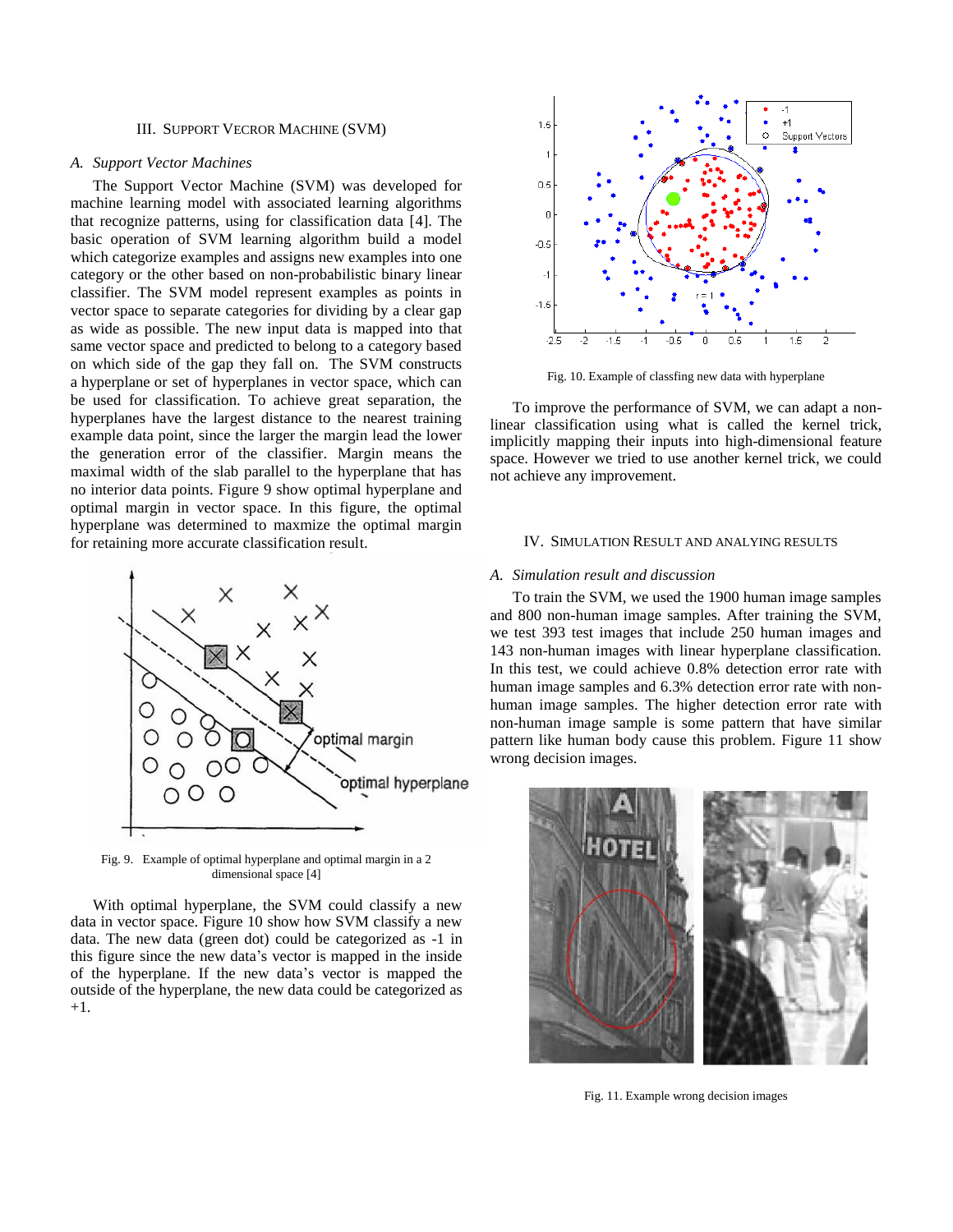# III. SUPPORT VECROR MACHINE (SVM)

# *A. Support Vector Machines*

The Support Vector Machine (SVM) was developed for machine learning model with associated learning algorithms that recognize patterns, using for classification data [4]. The basic operation of SVM learning algorithm build a model which categorize examples and assigns new examples into one category or the other based on non-probabilistic binary linear classifier. The SVM model represent examples as points in vector space to separate categories for dividing by a clear gap as wide as possible. The new input data is mapped into that same vector space and predicted to belong to a category based on which side of the gap they fall on. The SVM constructs a [hyperplane](http://en.wikipedia.org/wiki/Hyperplane) or set of hyperplanes in vector space, which can be used for classification. To achieve great separation, the hyperplanes have the largest distance to the nearest training example data point, since the larger the margin lead the lower the generation error of the classifier. Margin means the maximal width of the slab parallel to the hyperplane that has no interior data points. Figure 9 show optimal hyperplane and optimal margin in vector space. In this figure, the optimal hyperplane was determined to maxmize the optimal margin for retaining more accurate classification result.



Fig. 9. Example of optimal hyperplane and optimal margin in a 2 dimensional space [4]

With optimal hyperplane, the SVM could classify a new data in vector space. Figure 10 show how SVM classify a new data. The new data (green dot) could be categorized as -1 in this figure since the new data's vector is mapped in the inside of the hyperplane. If the new data's vector is mapped the outside of the hyperplane, the new data could be categorized as +1.



Fig. 10. Example of classfing new data with hyperplane

To improve the performance of SVM, we can adapt a nonlinear classification using what is called the kernel trick, implicitly mapping their inputs into high-dimensional feature space. However we tried to use another kernel trick, we could not achieve any improvement.

## IV. SIMULATION RESULT AND ANALYING RESULTS

## *A. Simulation result and discussion*

To train the SVM, we used the 1900 human image samples and 800 non-human image samples. After training the SVM, we test 393 test images that include 250 human images and 143 non-human images with linear hyperplane classification. In this test, we could achieve 0.8% detection error rate with human image samples and 6.3% detection error rate with nonhuman image samples. The higher detection error rate with non-human image sample is some pattern that have similar pattern like human body cause this problem. Figure 11 show wrong decision images.



Fig. 11. Example wrong decision images